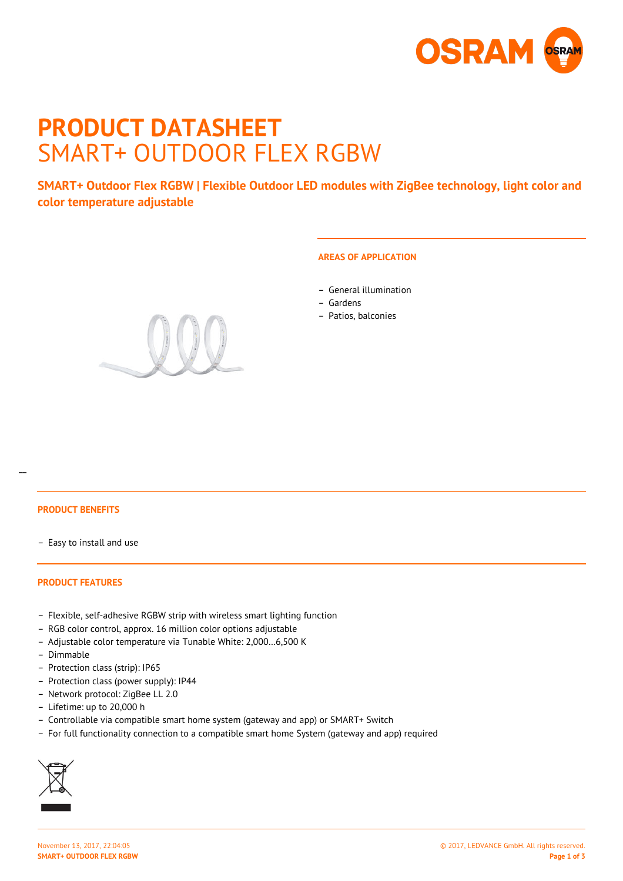

# **PRODUCT DATASHEET** SMART+ OUTDOOR FLEX RGBW

**SMART+ Outdoor Flex RGBW | Flexible Outdoor LED modules with ZigBee technology, light color and color temperature adjustable**

# **AREAS OF APPLICATION**

- General illumination
- Gardens
- Patios, balconies



## **PRODUCT BENEFITS**

 $\overline{a}$ 

– Easy to install and use

#### **PRODUCT FEATURES**

- Flexible, self-adhesive RGBW strip with wireless smart lighting function
- RGB color control, approx. 16 million color options adjustable
- Adjustable color temperature via Tunable White: 2,000…6,500 K
- Dimmable
- Protection class (strip): IP65
- Protection class (power supply): IP44
- Network protocol: ZigBee LL 2.0
- Lifetime: up to 20,000 h
- Controllable via compatible smart home system (gateway and app) or SMART+ Switch
- For full functionality connection to a compatible smart home System (gateway and app) required

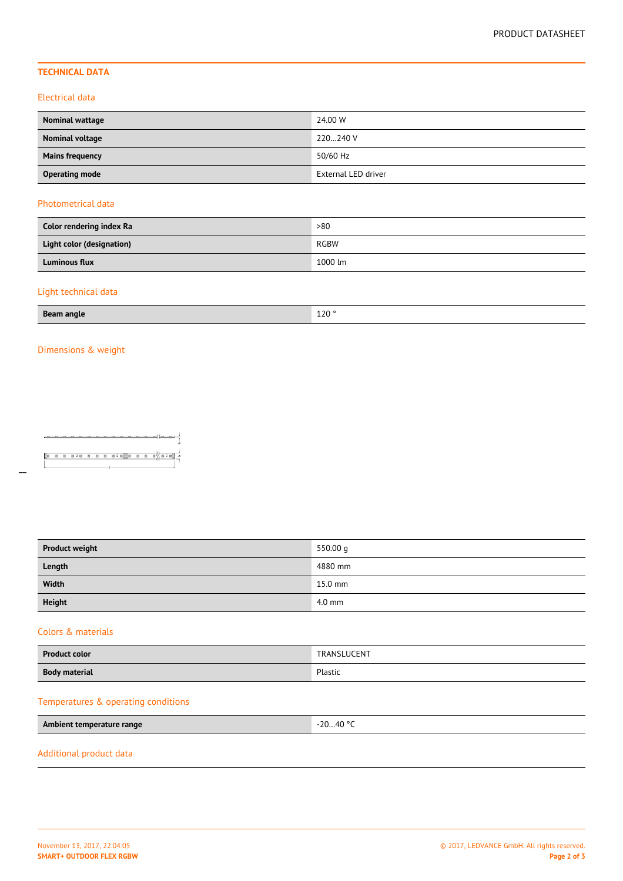# **TECHNICAL DATA**

#### Electrical data

| Nominal wattage        | 24.00 W             |
|------------------------|---------------------|
| Nominal voltage        | 220240 V            |
| <b>Mains frequency</b> | 50/60 Hz            |
| <b>Operating mode</b>  | External LED driver |

# Photometrical data

| Color rendering index Ra         | >80     |
|----------------------------------|---------|
| <b>Light color (designation)</b> | RGBW    |
| <b>Luminous flux</b>             | 1000 lm |

# Light technical data

| <b>Beam angle</b> | 120 |
|-------------------|-----|

# Dimensions & weight

 $\overline{a}$ 

| <b>Product weight</b> | 550.00 g  |
|-----------------------|-----------|
| Length                | 4880 mm   |
| Width                 | $15.0$ mm |
| <b>Height</b>         | $4.0$ mm  |

#### Colors & materials

| <b>Product color</b> | TRANSLUCENT |
|----------------------|-------------|
| <b>Body material</b> | Plastic     |
|                      |             |

# Temperatures & operating conditions

| Ambient temperature range | -20…40 ° <sup>C</sup> |
|---------------------------|-----------------------|
|---------------------------|-----------------------|

#### Additional product data